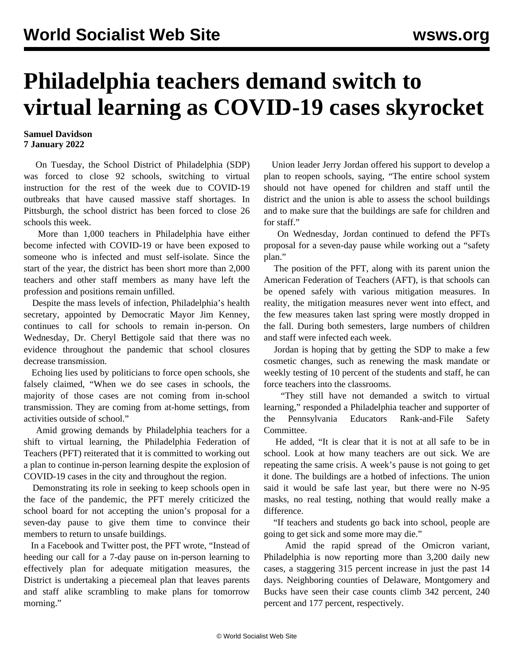## **Philadelphia teachers demand switch to virtual learning as COVID-19 cases skyrocket**

## **Samuel Davidson 7 January 2022**

 On Tuesday, the School District of Philadelphia (SDP) was forced to close 92 schools, switching to virtual instruction for the rest of the week due to COVID-19 outbreaks that have caused massive staff shortages. In Pittsburgh, the school district has been forced to close 26 schools this week.

 More than 1,000 teachers in Philadelphia have either become infected with COVID-19 or have been exposed to someone who is infected and must self-isolate. Since the start of the year, the district has been short more than 2,000 teachers and other staff members as many have left the profession and positions remain unfilled.

 Despite the mass levels of infection, Philadelphia's health secretary, appointed by Democratic Mayor Jim Kenney, continues to call for schools to remain in-person. On Wednesday, Dr. Cheryl Bettigole said that there was no evidence throughout the pandemic that school closures decrease transmission.

 Echoing lies used by politicians to force open schools, she falsely claimed, "When we do see cases in schools, the majority of those cases are not coming from in-school transmission. They are coming from at-home settings, from activities outside of school."

 Amid growing demands by Philadelphia teachers for a shift to virtual learning, the Philadelphia Federation of Teachers (PFT) reiterated that it is committed to working out a plan to continue in-person learning despite the explosion of COVID-19 cases in the city and throughout the region.

 Demonstrating its role in seeking to keep schools open in the face of the pandemic, the PFT merely criticized the school board for not accepting the union's proposal for a seven-day pause to give them time to convince their members to return to unsafe buildings.

 In a Facebook and Twitter post, the PFT wrote, "Instead of heeding our call for a 7-day pause on in-person learning to effectively plan for adequate mitigation measures, the District is undertaking a piecemeal plan that leaves parents and staff alike scrambling to make plans for tomorrow morning."

 Union leader Jerry Jordan offered his support to develop a plan to reopen schools, saying, "The entire school system should not have opened for children and staff until the district and the union is able to assess the school buildings and to make sure that the buildings are safe for children and for staff."

 On Wednesday, Jordan continued to defend the PFTs proposal for a seven-day pause while working out a "safety plan."

 The position of the PFT, along with its parent union the American Federation of Teachers (AFT), is that schools can be opened safely with various mitigation measures. In reality, the mitigation measures never went into effect, and the few measures taken last spring were mostly dropped in the fall. During both semesters, large numbers of children and staff were infected each week.

 Jordan is hoping that by getting the SDP to make a few cosmetic changes, such as renewing the mask mandate or weekly testing of 10 percent of the students and staff, he can force teachers into the classrooms.

 "They still have not demanded a switch to virtual learning," responded a Philadelphia teacher and supporter of the Pennsylvania Educators Rank-and-File Safety Committee.

 He added, "It is clear that it is not at all safe to be in school. Look at how many teachers are out sick. We are repeating the same crisis. A week's pause is not going to get it done. The buildings are a hotbed of infections. The union said it would be safe last year, but there were no N-95 masks, no real testing, nothing that would really make a difference.

 "If teachers and students go back into school, people are going to get sick and some more may die."

 Amid the rapid spread of the Omicron variant, Philadelphia is now reporting more than 3,200 daily new cases, a staggering 315 percent increase in just the past 14 days. Neighboring counties of Delaware, Montgomery and Bucks have seen their case counts climb 342 percent, 240 percent and 177 percent, respectively.